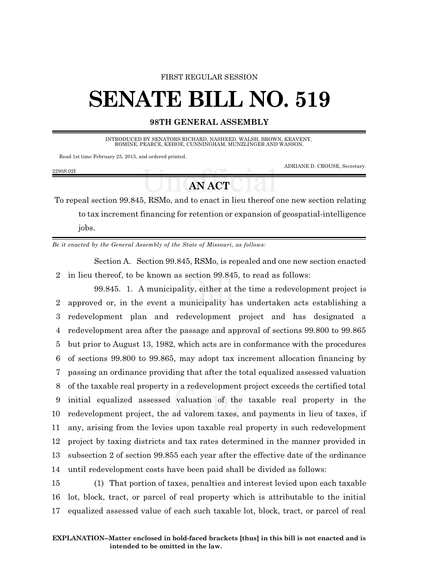#### FIRST REGULAR SESSION

# **SENATE BILL NO. 519**

### **98TH GENERAL ASSEMBLY**

INTRODUCED BY SENATORS RICHARD, NASHEED, WALSH, BROWN, KEAVENY, ROMINE, PEARCE, KEHOE, CUNNINGHAM, MUNZLINGER AND WASSON.

Read 1st time February 25, 2015, and ordered printed.

ADRIANE D. CROUSE, Secretary.

#### 2295S.02I

## **AN ACT**

To repeal section 99.845, RSMo, and to enact in lieu thereof one new section relating to tax increment financing for retention or expansion of geospatial-intelligence jobs.

*Be it enacted by the General Assembly of the State of Missouri, as follows:*

Section A. Section 99.845, RSMo, is repealed and one new section enacted 2 in lieu thereof, to be known as section 99.845, to read as follows:

99.845. 1. A municipality, either at the time a redevelopment project is approved or, in the event a municipality has undertaken acts establishing a redevelopment plan and redevelopment project and has designated a redevelopment area after the passage and approval of sections 99.800 to 99.865 but prior to August 13, 1982, which acts are in conformance with the procedures of sections 99.800 to 99.865, may adopt tax increment allocation financing by passing an ordinance providing that after the total equalized assessed valuation of the taxable real property in a redevelopment project exceeds the certified total initial equalized assessed valuation of the taxable real property in the redevelopment project, the ad valorem taxes, and payments in lieu of taxes, if any, arising from the levies upon taxable real property in such redevelopment project by taxing districts and tax rates determined in the manner provided in subsection 2 of section 99.855 each year after the effective date of the ordinance until redevelopment costs have been paid shall be divided as follows:

15 (1) That portion of taxes, penalties and interest levied upon each taxable 16 lot, block, tract, or parcel of real property which is attributable to the initial 17 equalized assessed value of each such taxable lot, block, tract, or parcel of real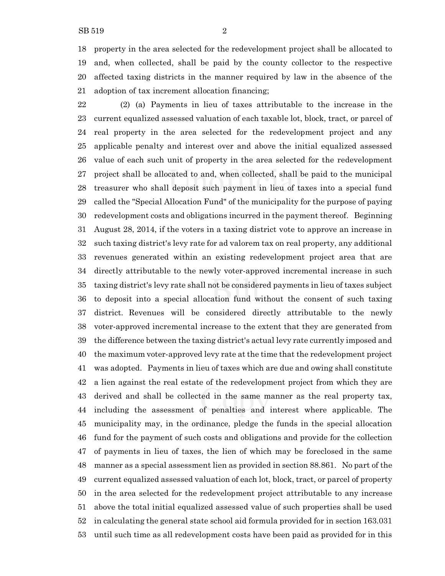property in the area selected for the redevelopment project shall be allocated to and, when collected, shall be paid by the county collector to the respective affected taxing districts in the manner required by law in the absence of the adoption of tax increment allocation financing;

 (2) (a) Payments in lieu of taxes attributable to the increase in the current equalized assessed valuation of each taxable lot, block, tract, or parcel of real property in the area selected for the redevelopment project and any applicable penalty and interest over and above the initial equalized assessed value of each such unit of property in the area selected for the redevelopment project shall be allocated to and, when collected, shall be paid to the municipal treasurer who shall deposit such payment in lieu of taxes into a special fund called the "Special Allocation Fund" of the municipality for the purpose of paying redevelopment costs and obligations incurred in the payment thereof. Beginning August 28, 2014, if the voters in a taxing district vote to approve an increase in such taxing district's levy rate for ad valorem tax on real property, any additional revenues generated within an existing redevelopment project area that are directly attributable to the newly voter-approved incremental increase in such taxing district's levy rate shall not be considered payments in lieu of taxes subject to deposit into a special allocation fund without the consent of such taxing district. Revenues will be considered directly attributable to the newly voter-approved incremental increase to the extent that they are generated from the difference between the taxing district's actual levy rate currently imposed and the maximum voter-approved levy rate at the time that the redevelopment project was adopted. Payments in lieu of taxes which are due and owing shall constitute a lien against the real estate of the redevelopment project from which they are derived and shall be collected in the same manner as the real property tax, including the assessment of penalties and interest where applicable. The municipality may, in the ordinance, pledge the funds in the special allocation fund for the payment of such costs and obligations and provide for the collection of payments in lieu of taxes, the lien of which may be foreclosed in the same manner as a special assessment lien as provided in section 88.861. No part of the current equalized assessed valuation of each lot, block, tract, or parcel of property in the area selected for the redevelopment project attributable to any increase above the total initial equalized assessed value of such properties shall be used in calculating the general state school aid formula provided for in section 163.031 until such time as all redevelopment costs have been paid as provided for in this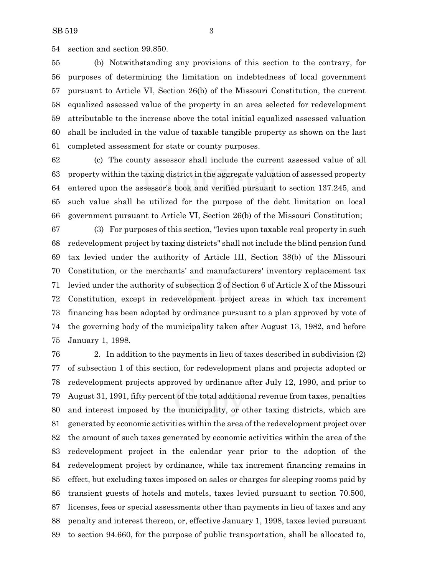section and section 99.850.

 (b) Notwithstanding any provisions of this section to the contrary, for purposes of determining the limitation on indebtedness of local government pursuant to Article VI, Section 26(b) of the Missouri Constitution, the current equalized assessed value of the property in an area selected for redevelopment attributable to the increase above the total initial equalized assessed valuation shall be included in the value of taxable tangible property as shown on the last completed assessment for state or county purposes.

 (c) The county assessor shall include the current assessed value of all property within the taxing district in the aggregate valuation of assessed property entered upon the assessor's book and verified pursuant to section 137.245, and such value shall be utilized for the purpose of the debt limitation on local government pursuant to Article VI, Section 26(b) of the Missouri Constitution;

 (3) For purposes of this section, "levies upon taxable real property in such redevelopment project by taxing districts" shall not include the blind pension fund tax levied under the authority of Article III, Section 38(b) of the Missouri Constitution, or the merchants' and manufacturers' inventory replacement tax levied under the authority of subsection 2 of Section 6 of Article X of the Missouri Constitution, except in redevelopment project areas in which tax increment financing has been adopted by ordinance pursuant to a plan approved by vote of the governing body of the municipality taken after August 13, 1982, and before January 1, 1998.

 2. In addition to the payments in lieu of taxes described in subdivision (2) of subsection 1 of this section, for redevelopment plans and projects adopted or redevelopment projects approved by ordinance after July 12, 1990, and prior to August 31, 1991, fifty percent of the total additional revenue from taxes, penalties and interest imposed by the municipality, or other taxing districts, which are generated by economic activities within the area of the redevelopment project over the amount of such taxes generated by economic activities within the area of the redevelopment project in the calendar year prior to the adoption of the redevelopment project by ordinance, while tax increment financing remains in effect, but excluding taxes imposed on sales or charges for sleeping rooms paid by transient guests of hotels and motels, taxes levied pursuant to section 70.500, licenses, fees or special assessments other than payments in lieu of taxes and any penalty and interest thereon, or, effective January 1, 1998, taxes levied pursuant to section 94.660, for the purpose of public transportation, shall be allocated to,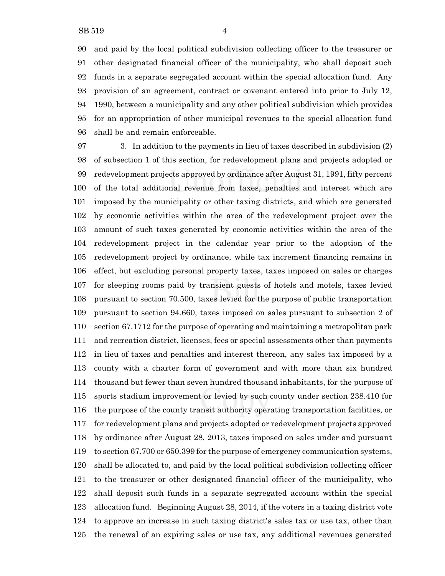and paid by the local political subdivision collecting officer to the treasurer or other designated financial officer of the municipality, who shall deposit such funds in a separate segregated account within the special allocation fund. Any provision of an agreement, contract or covenant entered into prior to July 12, 1990, between a municipality and any other political subdivision which provides for an appropriation of other municipal revenues to the special allocation fund shall be and remain enforceable.

 3. In addition to the payments in lieu of taxes described in subdivision (2) of subsection 1 of this section, for redevelopment plans and projects adopted or redevelopment projects approved by ordinance after August 31, 1991, fifty percent of the total additional revenue from taxes, penalties and interest which are imposed by the municipality or other taxing districts, and which are generated by economic activities within the area of the redevelopment project over the amount of such taxes generated by economic activities within the area of the redevelopment project in the calendar year prior to the adoption of the redevelopment project by ordinance, while tax increment financing remains in effect, but excluding personal property taxes, taxes imposed on sales or charges for sleeping rooms paid by transient guests of hotels and motels, taxes levied pursuant to section 70.500, taxes levied for the purpose of public transportation pursuant to section 94.660, taxes imposed on sales pursuant to subsection 2 of section 67.1712 for the purpose of operating and maintaining a metropolitan park and recreation district, licenses, fees or special assessments other than payments in lieu of taxes and penalties and interest thereon, any sales tax imposed by a county with a charter form of government and with more than six hundred thousand but fewer than seven hundred thousand inhabitants, for the purpose of sports stadium improvement or levied by such county under section 238.410 for the purpose of the county transit authority operating transportation facilities, or for redevelopment plans and projects adopted or redevelopment projects approved by ordinance after August 28, 2013, taxes imposed on sales under and pursuant to section 67.700 or 650.399 for the purpose of emergency communication systems, shall be allocated to, and paid by the local political subdivision collecting officer to the treasurer or other designated financial officer of the municipality, who shall deposit such funds in a separate segregated account within the special allocation fund. Beginning August 28, 2014, if the voters in a taxing district vote to approve an increase in such taxing district's sales tax or use tax, other than the renewal of an expiring sales or use tax, any additional revenues generated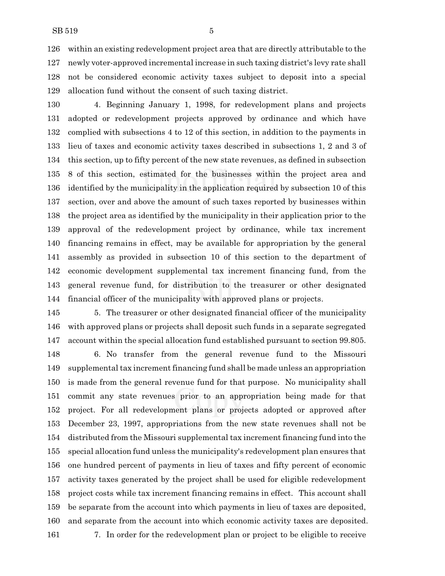within an existing redevelopment project area that are directly attributable to the newly voter-approved incremental increase in such taxing district's levy rate shall not be considered economic activity taxes subject to deposit into a special allocation fund without the consent of such taxing district.

 4. Beginning January 1, 1998, for redevelopment plans and projects adopted or redevelopment projects approved by ordinance and which have complied with subsections 4 to 12 of this section, in addition to the payments in lieu of taxes and economic activity taxes described in subsections 1, 2 and 3 of this section, up to fifty percent of the new state revenues, as defined in subsection 8 of this section, estimated for the businesses within the project area and identified by the municipality in the application required by subsection 10 of this section, over and above the amount of such taxes reported by businesses within the project area as identified by the municipality in their application prior to the approval of the redevelopment project by ordinance, while tax increment financing remains in effect, may be available for appropriation by the general assembly as provided in subsection 10 of this section to the department of economic development supplemental tax increment financing fund, from the general revenue fund, for distribution to the treasurer or other designated financial officer of the municipality with approved plans or projects.

 5. The treasurer or other designated financial officer of the municipality with approved plans or projects shall deposit such funds in a separate segregated account within the special allocation fund established pursuant to section 99.805.

 6. No transfer from the general revenue fund to the Missouri supplemental tax increment financing fund shall be made unless an appropriation is made from the general revenue fund for that purpose. No municipality shall commit any state revenues prior to an appropriation being made for that project. For all redevelopment plans or projects adopted or approved after December 23, 1997, appropriations from the new state revenues shall not be distributed from the Missouri supplemental tax increment financing fund into the special allocation fund unless the municipality's redevelopment plan ensures that one hundred percent of payments in lieu of taxes and fifty percent of economic activity taxes generated by the project shall be used for eligible redevelopment project costs while tax increment financing remains in effect. This account shall be separate from the account into which payments in lieu of taxes are deposited, and separate from the account into which economic activity taxes are deposited. 7. In order for the redevelopment plan or project to be eligible to receive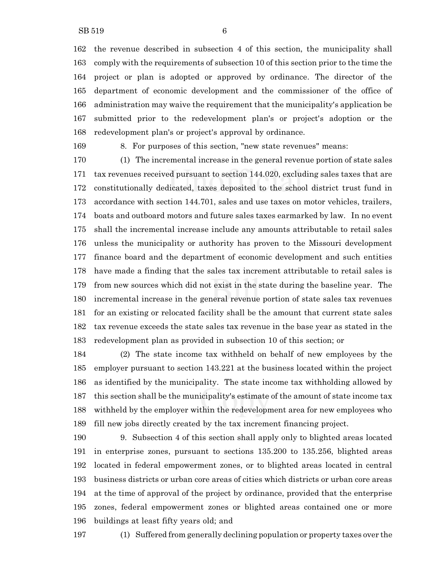the revenue described in subsection 4 of this section, the municipality shall comply with the requirements of subsection 10 of this section prior to the time the project or plan is adopted or approved by ordinance. The director of the department of economic development and the commissioner of the office of administration may waive the requirement that the municipality's application be submitted prior to the redevelopment plan's or project's adoption or the redevelopment plan's or project's approval by ordinance.

8. For purposes of this section, "new state revenues" means:

 (1) The incremental increase in the general revenue portion of state sales tax revenues received pursuant to section 144.020, excluding sales taxes that are constitutionally dedicated, taxes deposited to the school district trust fund in accordance with section 144.701, sales and use taxes on motor vehicles, trailers, boats and outboard motors and future sales taxes earmarked by law. In no event shall the incremental increase include any amounts attributable to retail sales unless the municipality or authority has proven to the Missouri development finance board and the department of economic development and such entities have made a finding that the sales tax increment attributable to retail sales is from new sources which did not exist in the state during the baseline year. The incremental increase in the general revenue portion of state sales tax revenues for an existing or relocated facility shall be the amount that current state sales tax revenue exceeds the state sales tax revenue in the base year as stated in the redevelopment plan as provided in subsection 10 of this section; or

 (2) The state income tax withheld on behalf of new employees by the employer pursuant to section 143.221 at the business located within the project as identified by the municipality. The state income tax withholding allowed by this section shall be the municipality's estimate of the amount of state income tax withheld by the employer within the redevelopment area for new employees who fill new jobs directly created by the tax increment financing project.

 9. Subsection 4 of this section shall apply only to blighted areas located in enterprise zones, pursuant to sections 135.200 to 135.256, blighted areas located in federal empowerment zones, or to blighted areas located in central business districts or urban core areas of cities which districts or urban core areas at the time of approval of the project by ordinance, provided that the enterprise zones, federal empowerment zones or blighted areas contained one or more buildings at least fifty years old; and

(1) Suffered from generally declining population or property taxes over the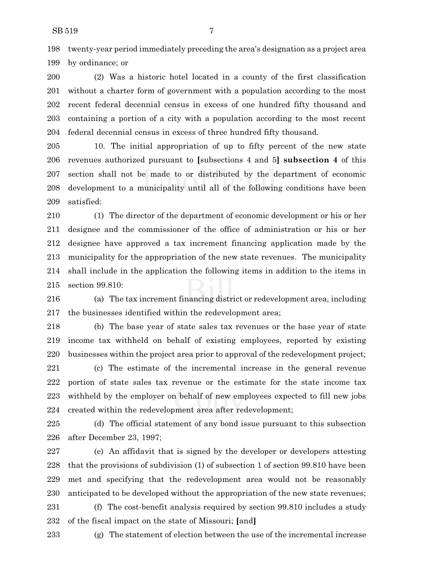twenty-year period immediately preceding the area's designation as a project area by ordinance; or

 (2) Was a historic hotel located in a county of the first classification without a charter form of government with a population according to the most recent federal decennial census in excess of one hundred fifty thousand and containing a portion of a city with a population according to the most recent federal decennial census in excess of three hundred fifty thousand.

 10. The initial appropriation of up to fifty percent of the new state revenues authorized pursuant to **[**subsections 4 and 5**] subsection 4** of this section shall not be made to or distributed by the department of economic development to a municipality until all of the following conditions have been satisfied:

 (1) The director of the department of economic development or his or her designee and the commissioner of the office of administration or his or her designee have approved a tax increment financing application made by the municipality for the appropriation of the new state revenues. The municipality shall include in the application the following items in addition to the items in section 99.810:

 (a) The tax increment financing district or redevelopment area, including the businesses identified within the redevelopment area;

 (b) The base year of state sales tax revenues or the base year of state income tax withheld on behalf of existing employees, reported by existing businesses within the project area prior to approval of the redevelopment project;

 (c) The estimate of the incremental increase in the general revenue portion of state sales tax revenue or the estimate for the state income tax withheld by the employer on behalf of new employees expected to fill new jobs created within the redevelopment area after redevelopment;

 (d) The official statement of any bond issue pursuant to this subsection after December 23, 1997;

 (e) An affidavit that is signed by the developer or developers attesting that the provisions of subdivision (1) of subsection 1 of section 99.810 have been met and specifying that the redevelopment area would not be reasonably anticipated to be developed without the appropriation of the new state revenues;

 (f) The cost-benefit analysis required by section 99.810 includes a study of the fiscal impact on the state of Missouri; **[**and**]**

(g) The statement of election between the use of the incremental increase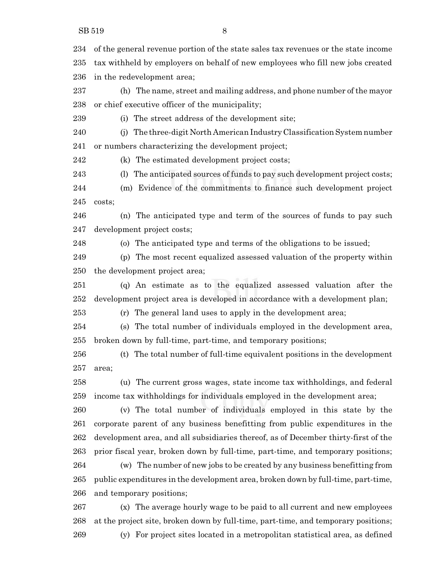of the general revenue portion of the state sales tax revenues or the state income tax withheld by employers on behalf of new employees who fill new jobs created in the redevelopment area;

 (h) The name, street and mailing address, and phone number of the mayor or chief executive officer of the municipality;

(i) The street address of the development site;

 (j) The three-digit North American Industry Classification Systemnumber or numbers characterizing the development project;

(k) The estimated development project costs;

(l) The anticipated sources of funds to pay such development project costs;

 (m) Evidence of the commitments to finance such development project costs;

 (n) The anticipated type and term of the sources of funds to pay such development project costs;

(o) The anticipated type and terms of the obligations to be issued;

 (p) The most recent equalized assessed valuation of the property within the development project area;

 (q) An estimate as to the equalized assessed valuation after the development project area is developed in accordance with a development plan;

(r) The general land uses to apply in the development area;

 (s) The total number of individuals employed in the development area, broken down by full-time, part-time, and temporary positions;

 (t) The total number of full-time equivalent positions in the development area;

 (u) The current gross wages, state income tax withholdings, and federal income tax withholdings for individuals employed in the development area;

 (v) The total number of individuals employed in this state by the corporate parent of any business benefitting from public expenditures in the development area, and all subsidiaries thereof, as of December thirty-first of the prior fiscal year, broken down by full-time, part-time, and temporary positions; (w) The number of new jobs to be created by any business benefitting from public expenditures in the development area, broken down by full-time, part-time, and temporary positions;

 (x) The average hourly wage to be paid to all current and new employees at the project site, broken down by full-time, part-time, and temporary positions; (y) For project sites located in a metropolitan statistical area, as defined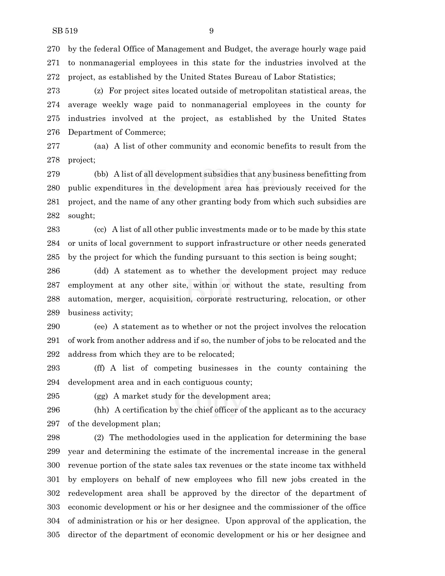by the federal Office of Management and Budget, the average hourly wage paid to nonmanagerial employees in this state for the industries involved at the project, as established by the United States Bureau of Labor Statistics;

 (z) For project sites located outside of metropolitan statistical areas, the average weekly wage paid to nonmanagerial employees in the county for industries involved at the project, as established by the United States Department of Commerce;

 (aa) A list of other community and economic benefits to result from the project;

 (bb) A list of all development subsidies that any business benefitting from public expenditures in the development area has previously received for the project, and the name of any other granting body from which such subsidies are sought;

 (cc) A list of all other public investments made or to be made by this state or units of local government to support infrastructure or other needs generated by the project for which the funding pursuant to this section is being sought;

 (dd) A statement as to whether the development project may reduce employment at any other site, within or without the state, resulting from automation, merger, acquisition, corporate restructuring, relocation, or other business activity;

 (ee) A statement as to whether or not the project involves the relocation of work from another address and if so, the number of jobs to be relocated and the address from which they are to be relocated;

 (ff) A list of competing businesses in the county containing the development area and in each contiguous county;

(gg) A market study for the development area;

 (hh) A certification by the chief officer of the applicant as to the accuracy of the development plan;

 (2) The methodologies used in the application for determining the base year and determining the estimate of the incremental increase in the general revenue portion of the state sales tax revenues or the state income tax withheld by employers on behalf of new employees who fill new jobs created in the redevelopment area shall be approved by the director of the department of economic development or his or her designee and the commissioner of the office of administration or his or her designee. Upon approval of the application, the director of the department of economic development or his or her designee and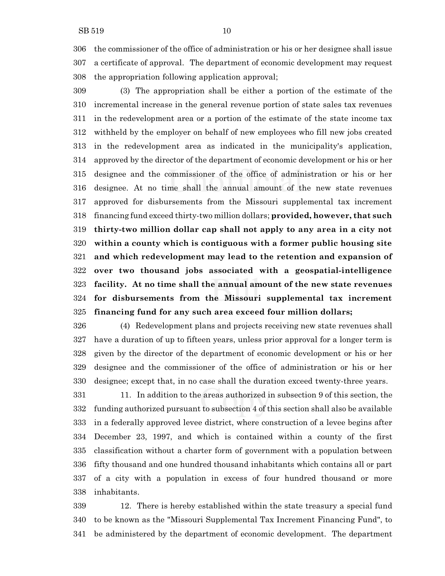the commissioner of the office of administration or his or her designee shall issue a certificate of approval. The department of economic development may request the appropriation following application approval;

 (3) The appropriation shall be either a portion of the estimate of the incremental increase in the general revenue portion of state sales tax revenues in the redevelopment area or a portion of the estimate of the state income tax withheld by the employer on behalf of new employees who fill new jobs created in the redevelopment area as indicated in the municipality's application, approved by the director of the department of economic development or his or her designee and the commissioner of the office of administration or his or her designee. At no time shall the annual amount of the new state revenues approved for disbursements from the Missouri supplemental tax increment financing fund exceed thirty-two million dollars; **provided, however, that such thirty-two million dollar cap shall not apply to any area in a city not within a county which is contiguous with a former public housing site and which redevelopment may lead to the retention and expansion of over two thousand jobs associated with a geospatial-intelligence facility. At no time shall the annual amount of the new state revenues for disbursements from the Missouri supplemental tax increment financing fund for any such area exceed four million dollars;**

 (4) Redevelopment plans and projects receiving new state revenues shall have a duration of up to fifteen years, unless prior approval for a longer term is given by the director of the department of economic development or his or her designee and the commissioner of the office of administration or his or her designee; except that, in no case shall the duration exceed twenty-three years.

 11. In addition to the areas authorized in subsection 9 of this section, the funding authorized pursuant to subsection 4 of this section shall also be available in a federally approved levee district, where construction of a levee begins after December 23, 1997, and which is contained within a county of the first classification without a charter form of government with a population between fifty thousand and one hundred thousand inhabitants which contains all or part of a city with a population in excess of four hundred thousand or more inhabitants.

 12. There is hereby established within the state treasury a special fund to be known as the "Missouri Supplemental Tax Increment Financing Fund", to be administered by the department of economic development. The department